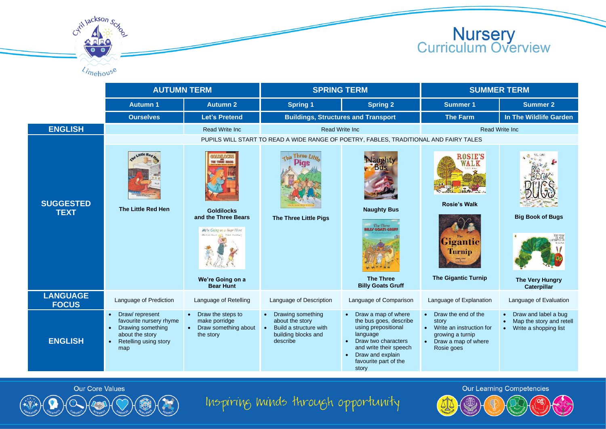Cytil Jackson Scro **Nursery<br>Curriculum Overview** Limehouse

|                                 | <b>AUTUMN TERM</b>                                                                                                                                       |                                                                                                             | <b>SPRING TERM</b>                                                                                                          |                                                                                                                                                                                                                   | <b>SUMMER TERM</b>                                                                                                      |                                                                                        |  |  |  |
|---------------------------------|----------------------------------------------------------------------------------------------------------------------------------------------------------|-------------------------------------------------------------------------------------------------------------|-----------------------------------------------------------------------------------------------------------------------------|-------------------------------------------------------------------------------------------------------------------------------------------------------------------------------------------------------------------|-------------------------------------------------------------------------------------------------------------------------|----------------------------------------------------------------------------------------|--|--|--|
|                                 | <b>Autumn 1</b>                                                                                                                                          | <b>Autumn 2</b>                                                                                             | <b>Spring 1</b>                                                                                                             | <b>Spring 2</b>                                                                                                                                                                                                   | <b>Summer 1</b>                                                                                                         | <b>Summer 2</b>                                                                        |  |  |  |
|                                 | <b>Ourselves</b>                                                                                                                                         | <b>Let's Pretend</b>                                                                                        | <b>Buildings, Structures and Transport</b>                                                                                  |                                                                                                                                                                                                                   | <b>The Farm</b>                                                                                                         | In The Wildlife Garden                                                                 |  |  |  |
| <b>ENGLISH</b>                  |                                                                                                                                                          | <b>Read Write Inc.</b>                                                                                      | <b>Read Write Inc.</b>                                                                                                      |                                                                                                                                                                                                                   | <b>Read Write Inc.</b>                                                                                                  |                                                                                        |  |  |  |
|                                 | PUPILS WILL START TO READ A WIDE RANGE OF POETRY, FABLES, TRADITIONAL AND FAIRY TALES                                                                    |                                                                                                             |                                                                                                                             |                                                                                                                                                                                                                   |                                                                                                                         |                                                                                        |  |  |  |
| <b>SUGGESTED</b><br><b>TEXT</b> | ittle Rea<br>The Little Red Hen                                                                                                                          | <b>Goldilocks</b><br>and the Three Bears<br>We're Going on a Bear Hunt<br>Michael Hasse And Holen Ournivers | the Three Little<br><b>Pigs</b><br><b>The Three Little Pigs</b>                                                             | aughty<br><b>Naughty Bus</b><br>The Three<br><b>BILLY GOATS GRU</b>                                                                                                                                               | <b>ROSIE'S</b><br>WALK<br><b>Rosie's Walk</b><br>Gigantic<br><b>Turnip</b>                                              | <b>Big Book of Bugs</b>                                                                |  |  |  |
|                                 |                                                                                                                                                          | We're Going on a<br><b>Bear Hunt</b>                                                                        |                                                                                                                             | <b>The Three</b><br><b>Billy Goats Gruff</b>                                                                                                                                                                      | <b>The Gigantic Turnip</b>                                                                                              | The Very Hungry<br>Caterpillar                                                         |  |  |  |
| <b>LANGUAGE</b><br><b>FOCUS</b> | Language of Prediction                                                                                                                                   | Language of Retelling                                                                                       | Language of Description                                                                                                     | Language of Comparison                                                                                                                                                                                            | Language of Explanation                                                                                                 | Language of Evaluation                                                                 |  |  |  |
| <b>ENGLISH</b>                  | Draw/represent<br>$\bullet$<br>favourite nursery rhyme<br>Drawing something<br>$\bullet$<br>about the story<br>Retelling using story<br>$\bullet$<br>map | Draw the steps to<br>$\bullet$<br>make porridge<br>Draw something about<br>the story                        | Drawing something<br>$\bullet$<br>about the story<br>Build a structure with<br>$\bullet$<br>building blocks and<br>describe | Draw a map of where<br>the bus goes, describe<br>using prepositional<br>language<br>Draw two characters<br>$\bullet$<br>and write their speech<br>Draw and explain<br>$\bullet$<br>favourite part of the<br>story | • Draw the end of the<br>story<br>• Write an instruction for<br>growing a turnip<br>• Draw a map of where<br>Rosie goes | Draw and label a bug<br>Map the story and retell<br>Write a shopping list<br>$\bullet$ |  |  |  |

Our Core Values

Inspiring minds through opportunity

**Our Learning Competencies**